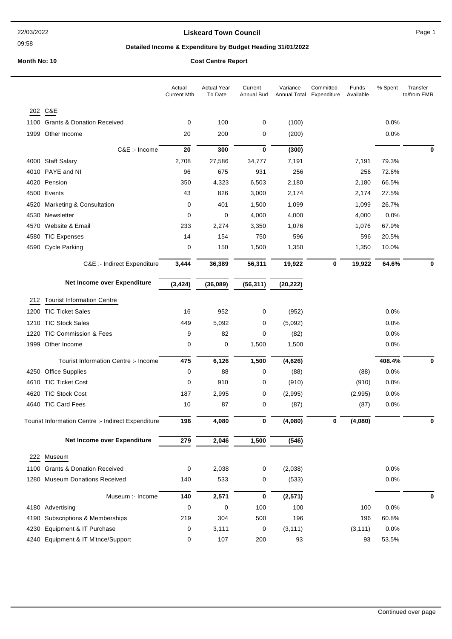09:58

### **Liskeard Town Council Canadian Council** Page 1

## **Detailed Income & Expenditure by Budget Heading 31/01/2022**

## **Month No: 10 Cost Centre Report**

|      |                                                    | Actual<br><b>Current Mth</b> | <b>Actual Year</b><br>To Date | Current<br><b>Annual Bud</b> | Variance  | Committed<br>Annual Total Expenditure | Funds<br>Available | % Spent | Transfer<br>to/from EMR |
|------|----------------------------------------------------|------------------------------|-------------------------------|------------------------------|-----------|---------------------------------------|--------------------|---------|-------------------------|
|      | 202 C&E                                            |                              |                               |                              |           |                                       |                    |         |                         |
| 1100 | <b>Grants &amp; Donation Received</b>              | 0                            | 100                           | 0                            | (100)     |                                       |                    | 0.0%    |                         |
| 1999 | Other Income                                       | 20                           | 200                           | 0                            | (200)     |                                       |                    | 0.0%    |                         |
|      | C&E :- Income                                      | 20                           | 300                           | $\bf{0}$                     | (300)     |                                       |                    |         | $\mathbf 0$             |
|      | 4000 Staff Salary                                  | 2,708                        | 27,586                        | 34,777                       | 7,191     |                                       | 7,191              | 79.3%   |                         |
|      | 4010 PAYE and NI                                   | 96                           | 675                           | 931                          | 256       |                                       | 256                | 72.6%   |                         |
|      | 4020 Pension                                       | 350                          | 4,323                         | 6,503                        | 2,180     |                                       | 2,180              | 66.5%   |                         |
|      | 4500 Events                                        | 43                           | 826                           | 3,000                        | 2,174     |                                       | 2,174              | 27.5%   |                         |
| 4520 | <b>Marketing &amp; Consultation</b>                | 0                            | 401                           | 1,500                        | 1,099     |                                       | 1,099              | 26.7%   |                         |
|      | 4530 Newsletter                                    | 0                            | 0                             | 4,000                        | 4,000     |                                       | 4,000              | 0.0%    |                         |
| 4570 | Website & Email                                    | 233                          | 2,274                         | 3,350                        | 1,076     |                                       | 1,076              | 67.9%   |                         |
| 4580 | <b>TIC Expenses</b>                                | 14                           | 154                           | 750                          | 596       |                                       | 596                | 20.5%   |                         |
| 4590 | <b>Cycle Parking</b>                               | 0                            | 150                           | 1,500                        | 1,350     |                                       | 1,350              | 10.0%   |                         |
|      | C&E :- Indirect Expenditure                        | 3,444                        | 36,389                        | 56,311                       | 19,922    | 0                                     | 19,922             | 64.6%   | 0                       |
|      | Net Income over Expenditure                        | (3, 424)                     | (36,089)                      | (56, 311)                    | (20, 222) |                                       |                    |         |                         |
|      |                                                    |                              |                               |                              |           |                                       |                    |         |                         |
| 212  | <b>Tourist Information Centre</b>                  |                              |                               |                              |           |                                       |                    |         |                         |
|      | 1200 TIC Ticket Sales                              | 16                           | 952                           | 0                            | (952)     |                                       |                    | 0.0%    |                         |
|      | 1210 TIC Stock Sales                               | 449                          | 5,092                         | 0                            | (5,092)   |                                       |                    | 0.0%    |                         |
| 1220 | <b>TIC Commission &amp; Fees</b>                   | 9                            | 82                            | 0                            | (82)      |                                       |                    | 0.0%    |                         |
|      | 1999 Other Income                                  | 0                            | 0                             | 1,500                        | 1,500     |                                       |                    | 0.0%    |                         |
|      | Tourist Information Centre :- Income               | 475                          | 6,126                         | 1,500                        | (4,626)   |                                       |                    | 408.4%  | 0                       |
| 4250 | <b>Office Supplies</b>                             | 0                            | 88                            | 0                            | (88)      |                                       | (88)               | 0.0%    |                         |
|      | 4610 TIC Ticket Cost                               | 0                            | 910                           | 0                            | (910)     |                                       | (910)              | 0.0%    |                         |
| 4620 | <b>TIC Stock Cost</b>                              | 187                          | 2,995                         | 0                            | (2,995)   |                                       | (2,995)            | 0.0%    |                         |
|      | 4640 TIC Card Fees                                 | 10                           | 87                            | 0                            | (87)      |                                       | (87)               | 0.0%    |                         |
|      | Tourist Information Centre :- Indirect Expenditure | 196                          | 4,080                         | $\bf{0}$                     | (4,080)   | 0                                     | (4,080)            |         | 0                       |
|      | Net Income over Expenditure                        | 279                          | 2,046                         | 1,500                        | (546)     |                                       |                    |         |                         |
|      | 222 Museum                                         |                              |                               |                              |           |                                       |                    |         |                         |
|      | 1100 Grants & Donation Received                    | 0                            | 2,038                         | 0                            | (2,038)   |                                       |                    | 0.0%    |                         |
|      | 1280 Museum Donations Received                     | 140                          | 533                           | 0                            | (533)     |                                       |                    | 0.0%    |                         |
|      | Museum :- Income                                   | 140                          | 2,571                         | $\bf{0}$                     | (2, 571)  |                                       |                    |         | 0                       |
|      | 4180 Advertising                                   | $\mathbf 0$                  | 0                             | 100                          | 100       |                                       | 100                | 0.0%    |                         |
| 4190 | Subscriptions & Memberships                        | 219                          | 304                           | 500                          | 196       |                                       | 196                | 60.8%   |                         |
|      | 4230 Equipment & IT Purchase                       | 0                            | 3,111                         | 0                            | (3, 111)  |                                       | (3, 111)           | 0.0%    |                         |
|      | 4240 Equipment & IT M'tnce/Support                 | 0                            | 107                           | 200                          | 93        |                                       | 93                 | 53.5%   |                         |